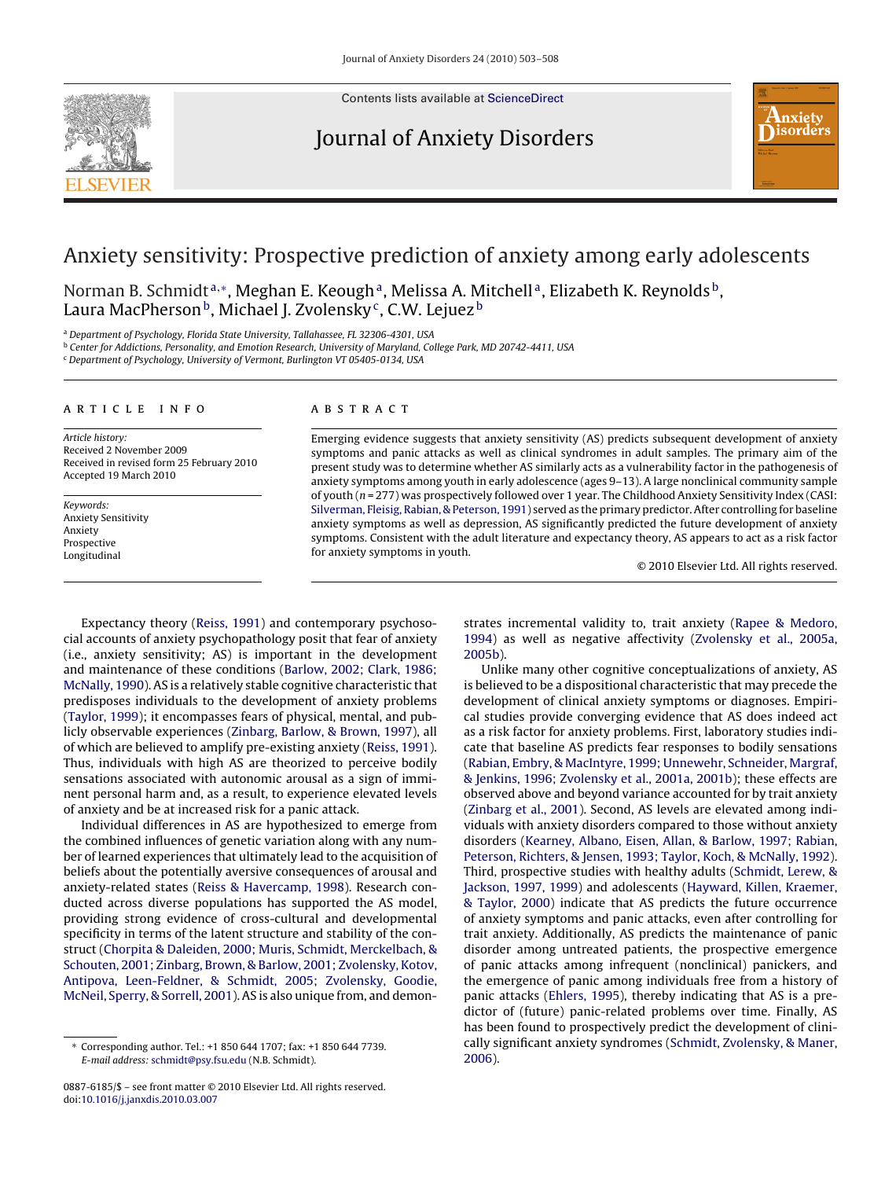

Contents lists available at [ScienceDirect](http://www.sciencedirect.com/science/journal/08876185)

### Journal of Anxiety Disorders



## Anxiety sensitivity: Prospective prediction of anxiety among early adolescents

Norman B. Schmidt<sup>a,∗</sup>, Meghan E. Keough<sup>a</sup>, Melissa A. Mitchell<sup>a</sup>, Elizabeth K. Reynolds<sup>b</sup>, Laura MacPherson<sup>b</sup>, Michael J. Zvolensky<sup>c</sup>, C.W. Lejuez<sup>b</sup>

<sup>a</sup> Department of Psychology, Florida State University, Tallahassee, FL 32306-4301, USA

<sup>b</sup> Center for Addictions, Personality, and Emotion Research, University of Maryland, College Park, MD 20742-4411, USA

<sup>c</sup> Department of Psychology, University of Vermont, Burlington VT 05405-0134, USA

#### article info

Article history: Received 2 November 2009 Received in revised form 25 February 2010 Accepted 19 March 2010

Keywords: Anxiety Sensitivity Anxiety Prospective Longitudinal

#### ABSTRACT

Emerging evidence suggests that anxiety sensitivity (AS) predicts subsequent development of anxiety symptoms and panic attacks as well as clinical syndromes in adult samples. The primary aim of the present study was to determine whether AS similarly acts as a vulnerability factor in the pathogenesis of anxiety symptoms among youth in early adolescence (ages 9–13). A large nonclinical community sample of youth (n = 277) was prospectively followed over 1 year. The Childhood Anxiety Sensitivity Index (CASI: [Silverman, Fleisig, Rabian, & Peterson, 1991\) s](#page--1-0)erved as the primary predictor. After controlling for baseline anxiety symptoms as well as depression, AS significantly predicted the future development of anxiety symptoms. Consistent with the adult literature and expectancy theory, AS appears to act as a risk factor for anxiety symptoms in youth.

© 2010 Elsevier Ltd. All rights reserved.

Expectancy theory [\(Reiss, 1991\)](#page--1-0) and contemporary psychosocial accounts of anxiety psychopathology posit that fear of anxiety (i.e., anxiety sensitivity; AS) is important in the development and maintenance of these conditions [\(Barlow, 2002; Clark, 1986;](#page--1-0) [McNally, 1990\).](#page--1-0) AS is a relatively stable cognitive characteristic that predisposes individuals to the development of anxiety problems ([Taylor, 1999\);](#page--1-0) it encompasses fears of physical, mental, and publicly observable experiences ([Zinbarg, Barlow, & Brown, 1997\),](#page--1-0) all of which are believed to amplify pre-existing anxiety [\(Reiss, 1991\).](#page--1-0) Thus, individuals with high AS are theorized to perceive bodily sensations associated with autonomic arousal as a sign of imminent personal harm and, as a result, to experience elevated levels of anxiety and be at increased risk for a panic attack.

Individual differences in AS are hypothesized to emerge from the combined influences of genetic variation along with any number of learned experiences that ultimately lead to the acquisition of beliefs about the potentially aversive consequences of arousal and anxiety-related states ([Reiss & Havercamp, 1998\).](#page--1-0) Research conducted across diverse populations has supported the AS model, providing strong evidence of cross-cultural and developmental specificity in terms of the latent structure and stability of the construct ([Chorpita & Daleiden, 2000; Muris, Schmidt, Merckelbach, &](#page--1-0) [Schouten, 2001; Zinbarg, Brown, & Barlow, 2001; Zvolensky, Kotov,](#page--1-0) [Antipova, Leen-Feldner, & Schmidt, 2005; Zvolensky, Goodie,](#page--1-0) [McNeil, Sperry, & Sorrell, 2001\).](#page--1-0) AS is also unique from, and demonstrates incremental validity to, trait anxiety ([Rapee & Medoro,](#page--1-0) [1994\)](#page--1-0) as well as negative affectivity [\(Zvolensky et al., 2005a,](#page--1-0) [2005b\).](#page--1-0)

Unlike many other cognitive conceptualizations of anxiety, AS is believed to be a dispositional characteristic that may precede the development of clinical anxiety symptoms or diagnoses. Empirical studies provide converging evidence that AS does indeed act as a risk factor for anxiety problems. First, laboratory studies indicate that baseline AS predicts fear responses to bodily sensations [\(Rabian, Embry, & MacIntyre, 1999; Unnewehr, Schneider, Margraf,](#page--1-0) [& Jenkins, 1996; Zvolensky et al., 2001a, 2001b\);](#page--1-0) these effects are observed above and beyond variance accounted for by trait anxiety [\(Zinbarg et al., 2001\).](#page--1-0) Second, AS levels are elevated among individuals with anxiety disorders compared to those without anxiety disorders ([Kearney, Albano, Eisen, Allan, & Barlow, 1997; Rabian,](#page--1-0) [Peterson, Richters, & Jensen, 1993; Taylor, Koch, & McNally, 1992\).](#page--1-0) Third, prospective studies with healthy adults [\(Schmidt, Lerew, &](#page--1-0) [Jackson, 1997, 1999\)](#page--1-0) and adolescents [\(Hayward, Killen, Kraemer,](#page--1-0) [& Taylor, 2000\)](#page--1-0) indicate that AS predicts the future occurrence of anxiety symptoms and panic attacks, even after controlling for trait anxiety. Additionally, AS predicts the maintenance of panic disorder among untreated patients, the prospective emergence of panic attacks among infrequent (nonclinical) panickers, and the emergence of panic among individuals free from a history of panic attacks [\(Ehlers, 1995\),](#page--1-0) thereby indicating that AS is a predictor of (future) panic-related problems over time. Finally, AS has been found to prospectively predict the development of clinically significant anxiety syndromes [\(Schmidt, Zvolensky, & Maner,](#page--1-0) [2006\).](#page--1-0)

<sup>∗</sup> Corresponding author. Tel.: +1 850 644 1707; fax: +1 850 644 7739. E-mail address: [schmidt@psy.fsu.edu](mailto:schmidt@psy.fsu.edu) (N.B. Schmidt).

<sup>0887-6185/\$ –</sup> see front matter © 2010 Elsevier Ltd. All rights reserved. doi:[10.1016/j.janxdis.2010.03.007](dx.doi.org/10.1016/j.janxdis.2010.03.007)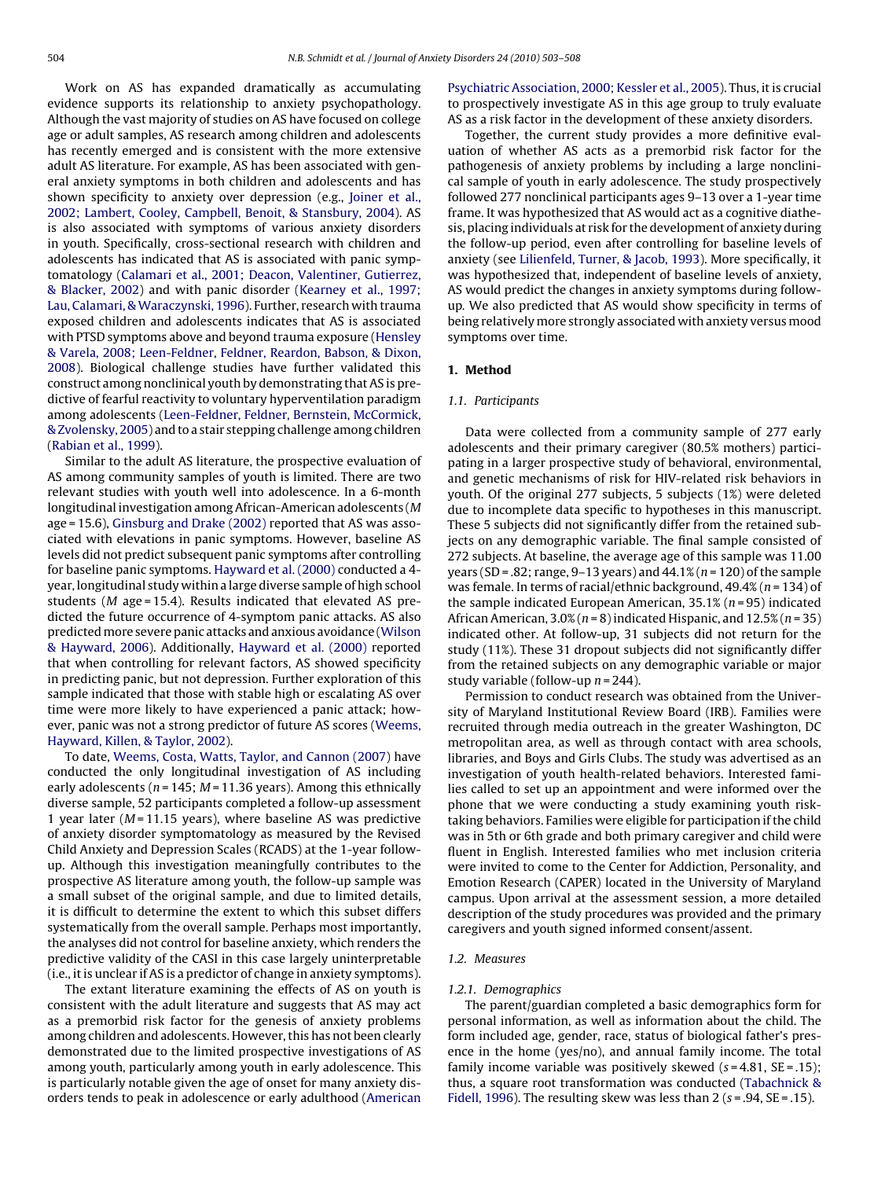Work on AS has expanded dramatically as accumulating evidence supports its relationship to anxiety psychopathology. Although the vast majority of studies on AS have focused on college age or adult samples, AS research among children and adolescents has recently emerged and is consistent with the more extensive adult AS literature. For example, AS has been associated with general anxiety symptoms in both children and adolescents and has shown specificity to anxiety over depression (e.g., [Joiner et al.,](#page--1-0) [2002; Lambert, Cooley, Campbell, Benoit, & Stansbury, 2004\).](#page--1-0) AS is also associated with symptoms of various anxiety disorders in youth. Specifically, cross-sectional research with children and adolescents has indicated that AS is associated with panic symptomatology ([Calamari et al., 2001; Deacon, Valentiner, Gutierrez,](#page--1-0) [& Blacker, 2002\)](#page--1-0) and with panic disorder ([Kearney et al., 1997;](#page--1-0) Lau, Calamari, & Waraczynski, 1996). Further, research with trauma exposed children and adolescents indicates that AS is associated with PTSD symptoms above and beyond trauma exposure ([Hensley](#page--1-0) [& Varela, 2008; Leen-Feldner, Feldner, Reardon, Babson, & Dixon,](#page--1-0) [2008\).](#page--1-0) Biological challenge studies have further validated this construct among nonclinical youth by demonstrating that AS is predictive of fearful reactivity to voluntary hyperventilation paradigm among adolescents [\(Leen-Feldner, Feldner, Bernstein, McCormick,](#page--1-0) [& Zvolensky, 2005\) a](#page--1-0)nd to a stair stepping challenge among children ([Rabian et al., 1999\).](#page--1-0)

Similar to the adult AS literature, the prospective evaluation of AS among community samples of youth is limited. There are two relevant studies with youth well into adolescence. In a 6-month longitudinal investigation among African-American adolescents (M age = 15.6), [Ginsburg and Drake \(2002\)](#page--1-0) reported that AS was associated with elevations in panic symptoms. However, baseline AS levels did not predict subsequent panic symptoms after controlling for baseline panic symptoms. [Hayward et al. \(2000\)](#page--1-0) conducted a 4 year, longitudinal study within a large diverse sample of high school students ( $M$  age = 15.4). Results indicated that elevated AS predicted the future occurrence of 4-symptom panic attacks. AS also predictedmore severe panic attacks and anxious avoidance [\(Wilson](#page--1-0) [& Hayward, 2006\).](#page--1-0) Additionally, [Hayward et al. \(2000\)](#page--1-0) reported that when controlling for relevant factors, AS showed specificity in predicting panic, but not depression. Further exploration of this sample indicated that those with stable high or escalating AS over time were more likely to have experienced a panic attack; however, panic was not a strong predictor of future AS scores ([Weems,](#page--1-0) [Hayward, Killen, & Taylor, 2002\).](#page--1-0)

To date, [Weems, Costa, Watts, Taylor, and Cannon \(2007\)](#page--1-0) have conducted the only longitudinal investigation of AS including early adolescents ( $n = 145$ ;  $M = 11.36$  years). Among this ethnically diverse sample, 52 participants completed a follow-up assessment 1 year later ( $M = 11.15$  years), where baseline AS was predictive of anxiety disorder symptomatology as measured by the Revised Child Anxiety and Depression Scales (RCADS) at the 1-year followup. Although this investigation meaningfully contributes to the prospective AS literature among youth, the follow-up sample was a small subset of the original sample, and due to limited details, it is difficult to determine the extent to which this subset differs systematically from the overall sample. Perhaps most importantly, the analyses did not control for baseline anxiety, which renders the predictive validity of the CASI in this case largely uninterpretable (i.e., it is unclear if AS is a predictor of change in anxiety symptoms).

The extant literature examining the effects of AS on youth is consistent with the adult literature and suggests that AS may act as a premorbid risk factor for the genesis of anxiety problems among children and adolescents. However, this has not been clearly demonstrated due to the limited prospective investigations of AS among youth, particularly among youth in early adolescence. This is particularly notable given the age of onset for many anxiety disorders tends to peak in adolescence or early adulthood ([American](#page--1-0)

[Psychiatric Association, 2000; Kessler et al., 2005\).](#page--1-0) Thus, it is crucial to prospectively investigate AS in this age group to truly evaluate AS as a risk factor in the development of these anxiety disorders.

Together, the current study provides a more definitive evaluation of whether AS acts as a premorbid risk factor for the pathogenesis of anxiety problems by including a large nonclinical sample of youth in early adolescence. The study prospectively followed 277 nonclinical participants ages 9–13 over a 1-year time frame. It was hypothesized that AS would act as a cognitive diathesis, placing individuals at risk for the development of anxiety during the follow-up period, even after controlling for baseline levels of anxiety (see [Lilienfeld, Turner, & Jacob, 1993\).](#page--1-0) More specifically, it was hypothesized that, independent of baseline levels of anxiety, AS would predict the changes in anxiety symptoms during followup. We also predicted that AS would show specificity in terms of being relatively more strongly associated with anxiety versus mood symptoms over time.

#### **1. Method**

#### 1.1. Participants

Data were collected from a community sample of 277 early adolescents and their primary caregiver (80.5% mothers) participating in a larger prospective study of behavioral, environmental, and genetic mechanisms of risk for HIV-related risk behaviors in youth. Of the original 277 subjects, 5 subjects (1%) were deleted due to incomplete data specific to hypotheses in this manuscript. These 5 subjects did not significantly differ from the retained subjects on any demographic variable. The final sample consisted of 272 subjects. At baseline, the average age of this sample was 11.00 years (SD = .82; range, 9–13 years) and  $44.1\%$  ( $n = 120$ ) of the sample was female. In terms of racial/ethnic background,  $49.4\%$  ( $n = 134$ ) of the sample indicated European American,  $35.1\%$  ( $n = 95$ ) indicated African American,  $3.0\%$  ( $n = 8$ ) indicated Hispanic, and  $12.5\%$  ( $n = 35$ ) indicated other. At follow-up, 31 subjects did not return for the study (11%). These 31 dropout subjects did not significantly differ from the retained subjects on any demographic variable or major study variable (follow-up  $n = 244$ ).

Permission to conduct research was obtained from the University of Maryland Institutional Review Board (IRB). Families were recruited through media outreach in the greater Washington, DC metropolitan area, as well as through contact with area schools, libraries, and Boys and Girls Clubs. The study was advertised as an investigation of youth health-related behaviors. Interested families called to set up an appointment and were informed over the phone that we were conducting a study examining youth risktaking behaviors. Families were eligible for participation if the child was in 5th or 6th grade and both primary caregiver and child were fluent in English. Interested families who met inclusion criteria were invited to come to the Center for Addiction, Personality, and Emotion Research (CAPER) located in the University of Maryland campus. Upon arrival at the assessment session, a more detailed description of the study procedures was provided and the primary caregivers and youth signed informed consent/assent.

#### 1.2. Measures

#### 1.2.1. Demographics

The parent/guardian completed a basic demographics form for personal information, as well as information about the child. The form included age, gender, race, status of biological father's presence in the home (yes/no), and annual family income. The total family income variable was positively skewed  $(s=4.81, SE=.15)$ ; thus, a square root transformation was conducted [\(Tabachnick &](#page--1-0) [Fidell, 1996\).](#page--1-0) The resulting skew was less than 2 ( $s = .94$ ,  $SE = .15$ ).